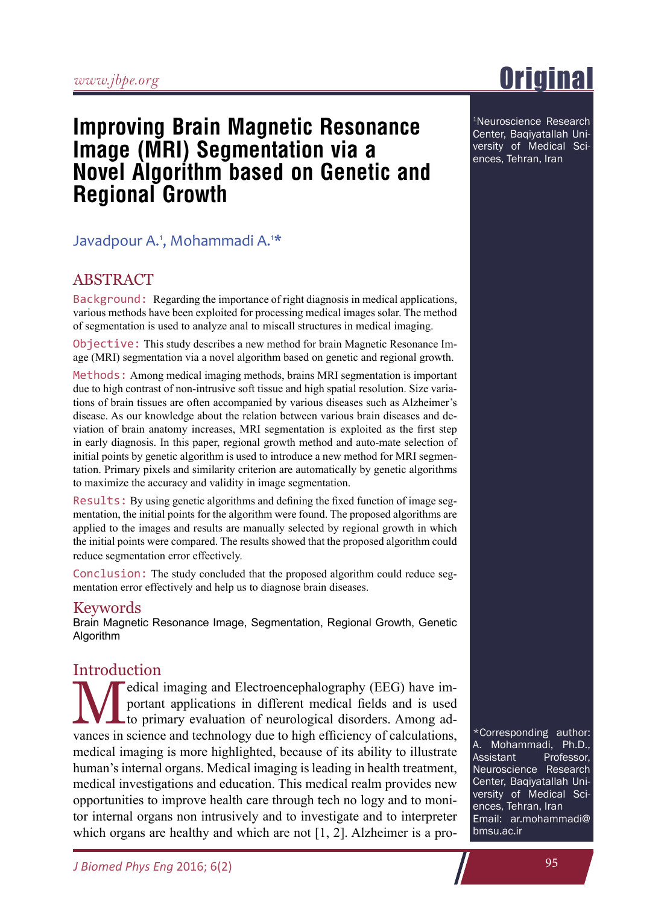# **Improving Brain Magnetic Resonance Image (MRI) Segmentation via a Novel Algorithm based on Genetic and Regional Growth**

# Javadpour A.<sup>1</sup>, Mohammadi A.<sup>1\*</sup>

# **ABSTRACT**

Background: Regarding the importance of right diagnosis in medical applications, various methods have been exploited for processing medical images solar. The method of segmentation is used to analyze anal to miscall structures in medical imaging.

Objective: This study describes a new method for brain Magnetic Resonance Image (MRI) segmentation via a novel algorithm based on genetic and regional growth.

Methods: Among medical imaging methods, brains MRI segmentation is important due to high contrast of non-intrusive soft tissue and high spatial resolution. Size variations of brain tissues are often accompanied by various diseases such as Alzheimer's disease. As our knowledge about the relation between various brain diseases and deviation of brain anatomy increases, MRI segmentation is exploited as the first step in early diagnosis. In this paper, regional growth method and auto-mate selection of initial points by genetic algorithm is used to introduce a new method for MRI segmentation. Primary pixels and similarity criterion are automatically by genetic algorithms to maximize the accuracy and validity in image segmentation.

Results: By using genetic algorithms and defining the fixed function of image segmentation, the initial points for the algorithm were found. The proposed algorithms are applied to the images and results are manually selected by regional growth in which the initial points were compared. The results showed that the proposed algorithm could reduce segmentation error effectively.

Conclusion: The study concluded that the proposed algorithm could reduce segmentation error effectively and help us to diagnose brain diseases.

#### Keywords

Brain Magnetic Resonance Image, Segmentation, Regional Growth, Genetic Algorithm

## **Introduction**

Medical imaging and Electroencephalography (EEG) have im-<br>portant applications in different medical fields and is used<br>to primary evaluation of neurological disorders. Among ad-<br>primary in primary displaying the triple is portant applications in different medical fields and is used vances in science and technology due to high efficiency of calculations, medical imaging is more highlighted, because of its ability to illustrate human's internal organs. Medical imaging is leading in health treatment, medical investigations and education. This medical realm provides new opportunities to improve health care through tech no logy and to monitor internal organs non intrusively and to investigate and to interpreter which organs are healthy and which are not [1, 2]. Alzheimer is a pro-

\*Corresponding author: A. Mohammadi, Ph.D., Professor, Neuroscience Research Center, Baqiyatallah University of Medical Sciences, Tehran, Iran Email: ar.mohammadi@ bmsu.ac.ir

1Neuroscience Research Center, Baqiyatallah University of Medical Sciences, Tehran, Iran

# **Original**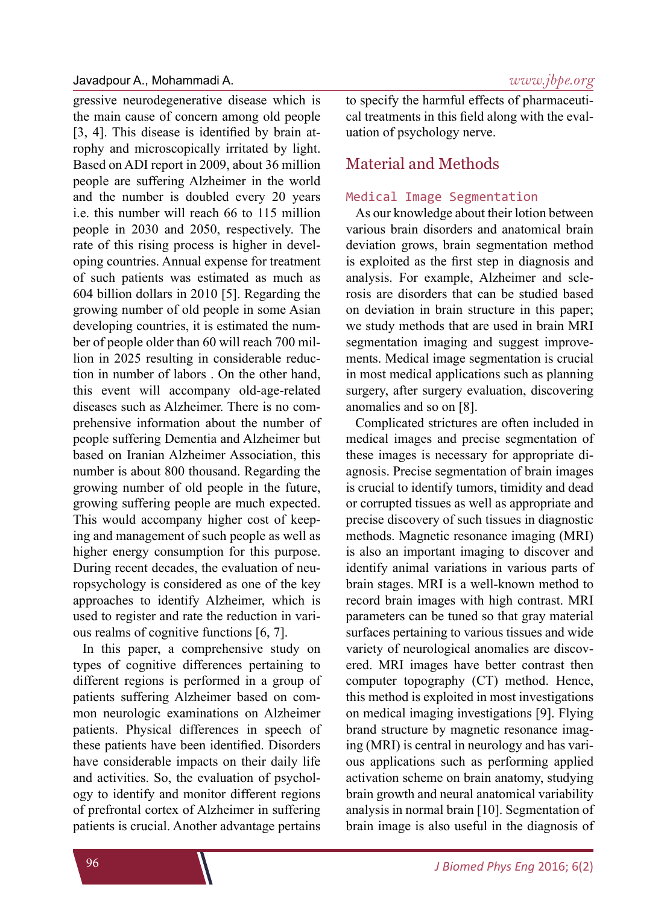#### Javadpour A., Mohammadi A. *www.jbpe.org*

gressive neurodegenerative disease which is the main cause of concern among old people [3, 4]. This disease is identified by brain atrophy and microscopically irritated by light. Based on ADI report in 2009, about 36 million people are suffering Alzheimer in the world and the number is doubled every 20 years i.e. this number will reach 66 to 115 million people in 2030 and 2050, respectively. The rate of this rising process is higher in developing countries. Annual expense for treatment of such patients was estimated as much as 604 billion dollars in 2010 [5]. Regarding the growing number of old people in some Asian developing countries, it is estimated the number of people older than 60 will reach 700 million in 2025 resulting in considerable reduction in number of labors . On the other hand, this event will accompany old-age-related diseases such as Alzheimer. There is no comprehensive information about the number of people suffering Dementia and Alzheimer but based on Iranian Alzheimer Association, this number is about 800 thousand. Regarding the growing number of old people in the future, growing suffering people are much expected. This would accompany higher cost of keeping and management of such people as well as higher energy consumption for this purpose. During recent decades, the evaluation of neuropsychology is considered as one of the key approaches to identify Alzheimer, which is used to register and rate the reduction in various realms of cognitive functions [6, 7].

In this paper, a comprehensive study on types of cognitive differences pertaining to different regions is performed in a group of patients suffering Alzheimer based on common neurologic examinations on Alzheimer patients. Physical differences in speech of these patients have been identified. Disorders have considerable impacts on their daily life and activities. So, the evaluation of psychology to identify and monitor different regions of prefrontal cortex of Alzheimer in suffering patients is crucial. Another advantage pertains to specify the harmful effects of pharmaceutical treatments in this field along with the evaluation of psychology nerve.

### Material and Methods

#### Medical Image Segmentation

As our knowledge about their lotion between various brain disorders and anatomical brain deviation grows, brain segmentation method is exploited as the first step in diagnosis and analysis. For example, Alzheimer and sclerosis are disorders that can be studied based on deviation in brain structure in this paper; we study methods that are used in brain MRI segmentation imaging and suggest improvements. Medical image segmentation is crucial in most medical applications such as planning surgery, after surgery evaluation, discovering anomalies and so on [8].

Complicated strictures are often included in medical images and precise segmentation of these images is necessary for appropriate diagnosis. Precise segmentation of brain images is crucial to identify tumors, timidity and dead or corrupted tissues as well as appropriate and precise discovery of such tissues in diagnostic methods. Magnetic resonance imaging (MRI) is also an important imaging to discover and identify animal variations in various parts of brain stages. MRI is a well-known method to record brain images with high contrast. MRI parameters can be tuned so that gray material surfaces pertaining to various tissues and wide variety of neurological anomalies are discovered. MRI images have better contrast then computer topography (CT) method. Hence, this method is exploited in most investigations on medical imaging investigations [9]. Flying brand structure by magnetic resonance imaging (MRI) is central in neurology and has various applications such as performing applied activation scheme on brain anatomy, studying brain growth and neural anatomical variability analysis in normal brain [10]. Segmentation of brain image is also useful in the diagnosis of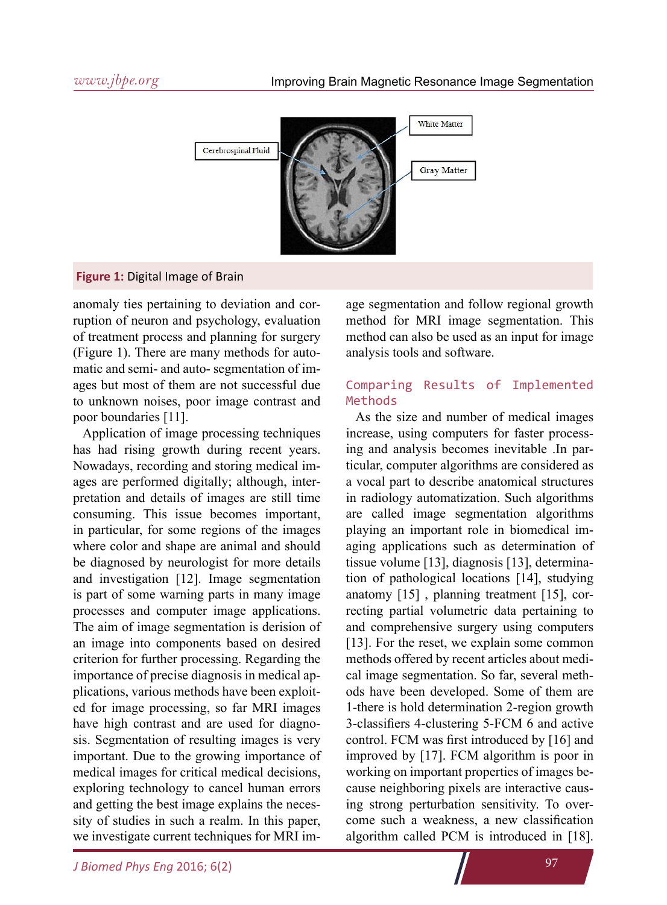

#### **Figure 1:** Digital Image of Brain

anomaly ties pertaining to deviation and corruption of neuron and psychology, evaluation of treatment process and planning for surgery (Figure 1). There are many methods for automatic and semi- and auto- segmentation of images but most of them are not successful due to unknown noises, poor image contrast and poor boundaries [11].

Application of image processing techniques has had rising growth during recent years. Nowadays, recording and storing medical images are performed digitally; although, interpretation and details of images are still time consuming. This issue becomes important, in particular, for some regions of the images where color and shape are animal and should be diagnosed by neurologist for more details and investigation [12]. Image segmentation is part of some warning parts in many image processes and computer image applications. The aim of image segmentation is derision of an image into components based on desired criterion for further processing. Regarding the importance of precise diagnosis in medical applications, various methods have been exploited for image processing, so far MRI images have high contrast and are used for diagnosis. Segmentation of resulting images is very important. Due to the growing importance of medical images for critical medical decisions, exploring technology to cancel human errors and getting the best image explains the necessity of studies in such a realm. In this paper, we investigate current techniques for MRI im-

age segmentation and follow regional growth method for MRI image segmentation. This method can also be used as an input for image analysis tools and software.

#### Comparing Results of Implemented Methods

As the size and number of medical images increase, using computers for faster processing and analysis becomes inevitable .In particular, computer algorithms are considered as a vocal part to describe anatomical structures in radiology automatization. Such algorithms are called image segmentation algorithms playing an important role in biomedical imaging applications such as determination of tissue volume [13], diagnosis [13], determination of pathological locations [14], studying anatomy [15] , planning treatment [15], correcting partial volumetric data pertaining to and comprehensive surgery using computers [13]. For the reset, we explain some common methods offered by recent articles about medical image segmentation. So far, several methods have been developed. Some of them are 1-there is hold determination 2-region growth 3-classifiers 4-clustering 5-FCM 6 and active control. FCM was first introduced by [16] and improved by [17]. FCM algorithm is poor in working on important properties of images because neighboring pixels are interactive causing strong perturbation sensitivity. To overcome such a weakness, a new classification algorithm called PCM is introduced in [18].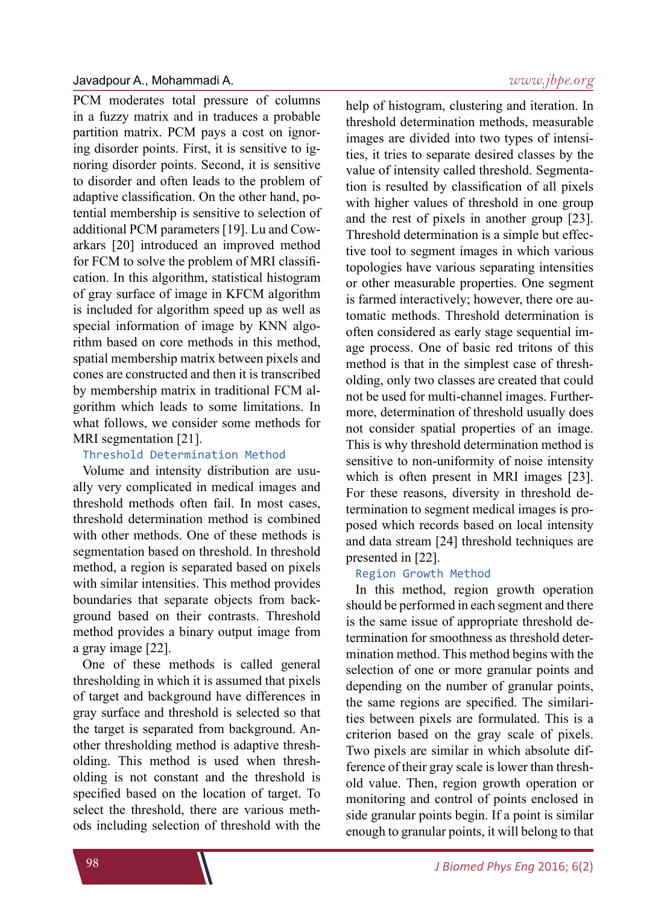PCM moderates total pressure of columns in a fuzzy matrix and in traduces a probable partition matrix. PCM pays a cost on ignoring disorder points. First, it is sensitive to ignoring disorder points. Second, it is sensitive to disorder and often leads to the problem of adaptive classification. On the other hand, potential membership is sensitive to selection of additional PCM parameters [19]. Lu and Cowarkars [20] introduced an improved method for FCM to solve the problem of MRI classification. In this algorithm, statistical histogram of gray surface of image in KFCM algorithm is included for algorithm speed up as well as special information of image by KNN algorithm based on core methods in this method, spatial membership matrix between pixels and cones are constructed and then it is transcribed by membership matrix in traditional FCM algorithm which leads to some limitations. In what follows, we consider some methods for MRI segmentation [21].

#### Threshold Determination Method

Volume and intensity distribution are usually very complicated in medical images and threshold methods often fail. In most cases, threshold determination method is combined with other methods. One of these methods is segmentation based on threshold. In threshold method, a region is separated based on pixels with similar intensities. This method provides boundaries that separate objects from background based on their contrasts. Threshold method provides a binary output image from a gray image [22].

One of these methods is called general thresholding in which it is assumed that pixels of target and background have differences in gray surface and threshold is selected so that the target is separated from background. Another thresholding method is adaptive thresholding. This method is used when thresholding is not constant and the threshold is specified based on the location of target. To select the threshold, there are various methods including selection of threshold with the

### *www.jbpe.org*

help of histogram, clustering and iteration. In threshold determination methods, measurable images are divided into two types of intensities, it tries to separate desired classes by the value of intensity called threshold. Segmentation is resulted by classification of all pixels with higher values of threshold in one group and the rest of pixels in another group [23]. Threshold determination is a simple but effective tool to segment images in which various topologies have various separating intensities or other measurable properties. One segment is farmed interactively; however, there ore automatic methods. Threshold determination is often considered as early stage sequential image process. One of basic red tritons of this method is that in the simplest case of thresholding, only two classes are created that could not be used for multi-channel images. Furthermore, determination of threshold usually does not consider spatial properties of an image. This is why threshold determination method is sensitive to non-uniformity of noise intensity which is often present in MRI images [23]. For these reasons, diversity in threshold determination to segment medical images is proposed which records based on local intensity and data stream [24] threshold techniques are presented in [22].

#### Region Growth Method

In this method, region growth operation should be performed in each segment and there is the same issue of appropriate threshold determination for smoothness as threshold determination method. This method begins with the selection of one or more granular points and depending on the number of granular points, the same regions are specified. The similarities between pixels are formulated. This is a criterion based on the gray scale of pixels. Two pixels are similar in which absolute difference of their gray scale is lower than threshold value. Then, region growth operation or monitoring and control of points enclosed in side granular points begin. If a point is similar enough to granular points, it will belong to that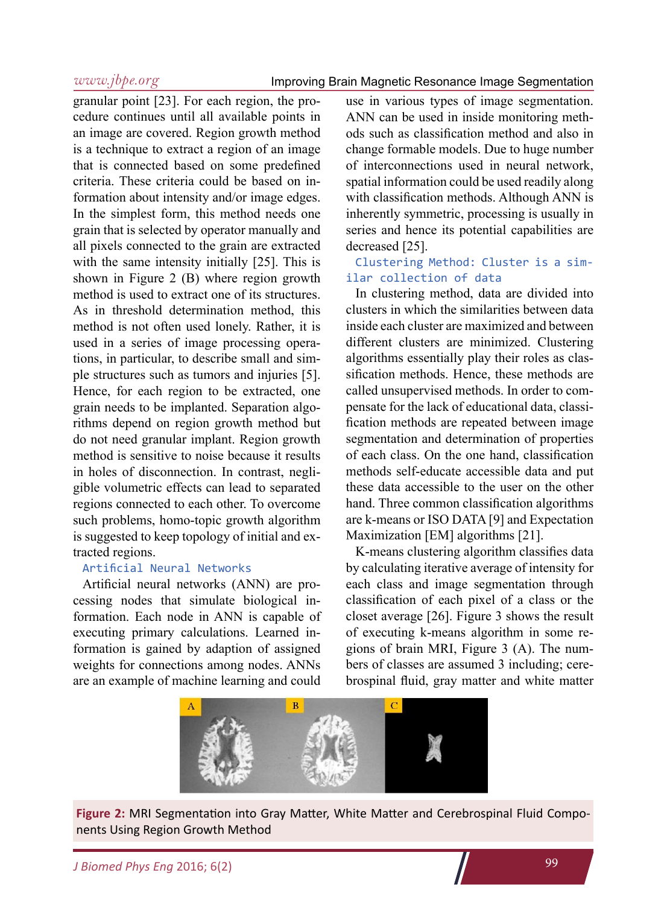granular point [23]. For each region, the procedure continues until all available points in an image are covered. Region growth method is a technique to extract a region of an image that is connected based on some predefined criteria. These criteria could be based on information about intensity and/or image edges. In the simplest form, this method needs one grain that is selected by operator manually and all pixels connected to the grain are extracted with the same intensity initially [25]. This is shown in Figure 2 (B) where region growth method is used to extract one of its structures. As in threshold determination method, this method is not often used lonely. Rather, it is used in a series of image processing operations, in particular, to describe small and simple structures such as tumors and injuries [5]. Hence, for each region to be extracted, one grain needs to be implanted. Separation algorithms depend on region growth method but do not need granular implant. Region growth method is sensitive to noise because it results in holes of disconnection. In contrast, negligible volumetric effects can lead to separated regions connected to each other. To overcome such problems, homo-topic growth algorithm is suggested to keep topology of initial and extracted regions.

### Artificial Neural Networks

Artificial neural networks (ANN) are processing nodes that simulate biological information. Each node in ANN is capable of executing primary calculations. Learned information is gained by adaption of assigned weights for connections among nodes. ANNs are an example of machine learning and could

use in various types of image segmentation. ANN can be used in inside monitoring methods such as classification method and also in change formable models. Due to huge number of interconnections used in neural network, spatial information could be used readily along with classification methods. Although ANN is inherently symmetric, processing is usually in series and hence its potential capabilities are decreased [25].

#### Clustering Method: Cluster is a similar collection of data

In clustering method, data are divided into clusters in which the similarities between data inside each cluster are maximized and between different clusters are minimized. Clustering algorithms essentially play their roles as classification methods. Hence, these methods are called unsupervised methods. In order to compensate for the lack of educational data, classification methods are repeated between image segmentation and determination of properties of each class. On the one hand, classification methods self-educate accessible data and put these data accessible to the user on the other hand. Three common classification algorithms are k-means or ISO DATA [9] and Expectation Maximization [EM] algorithms [21].

K-means clustering algorithm classifies data by calculating iterative average of intensity for each class and image segmentation through classification of each pixel of a class or the closet average [26]. Figure 3 shows the result of executing k-means algorithm in some regions of brain MRI, Figure 3 (A). The numbers of classes are assumed 3 including; cerebrospinal fluid, gray matter and white matter



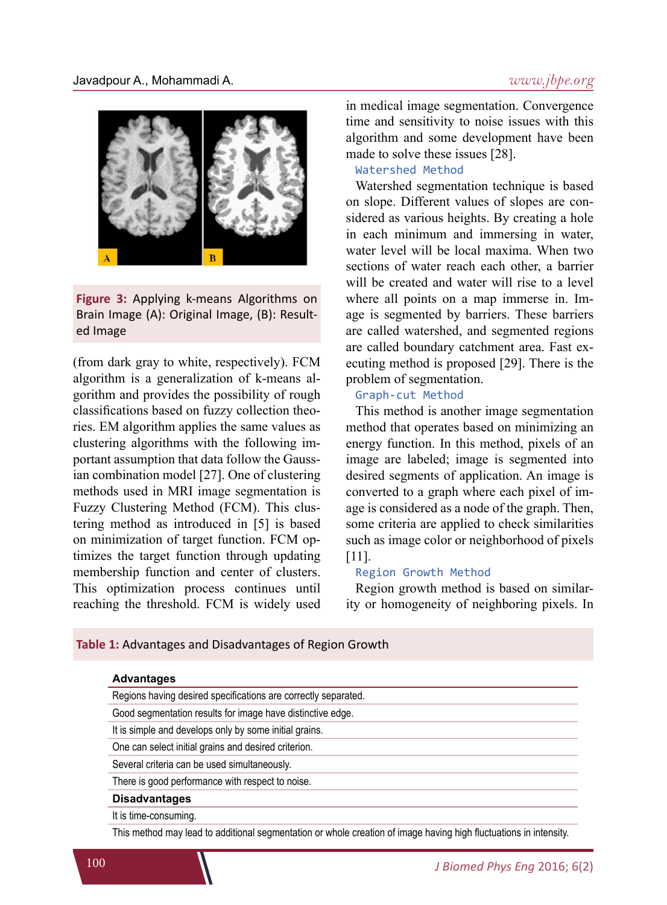

**Figure 3:** Applying k-means Algorithms on Brain Image (A): Original Image, (B): Resulted Image

(from dark gray to white, respectively). FCM algorithm is a generalization of k-means algorithm and provides the possibility of rough classifications based on fuzzy collection theories. EM algorithm applies the same values as clustering algorithms with the following important assumption that data follow the Gaussian combination model [27]. One of clustering methods used in MRI image segmentation is Fuzzy Clustering Method (FCM). This clustering method as introduced in [5] is based on minimization of target function. FCM optimizes the target function through updating membership function and center of clusters. This optimization process continues until reaching the threshold. FCM is widely used

**Table 1:** Advantages and Disadvantages of Region Growth

in medical image segmentation. Convergence time and sensitivity to noise issues with this algorithm and some development have been made to solve these issues [28].

#### Watershed Method

Watershed segmentation technique is based on slope. Different values of slopes are considered as various heights. By creating a hole in each minimum and immersing in water, water level will be local maxima. When two sections of water reach each other, a barrier will be created and water will rise to a level where all points on a map immerse in. Image is segmented by barriers. These barriers are called watershed, and segmented regions are called boundary catchment area. Fast executing method is proposed [29]. There is the problem of segmentation.

#### Graph-cut Method

This method is another image segmentation method that operates based on minimizing an energy function. In this method, pixels of an image are labeled; image is segmented into desired segments of application. An image is converted to a graph where each pixel of image is considered as a node of the graph. Then, some criteria are applied to check similarities such as image color or neighborhood of pixels [11].

#### Region Growth Method

Region growth method is based on similarity or homogeneity of neighboring pixels. In

| Regions having desired specifications are correctly separated. |  |
|----------------------------------------------------------------|--|
| Good segmentation results for image have distinctive edge.     |  |
| It is simple and develops only by some initial grains.         |  |
| One can select initial grains and desired criterion.           |  |
| Several criteria can be used simultaneously.                   |  |
| There is good performance with respect to noise.               |  |
| <b>Disadvantages</b>                                           |  |
| It is time-consuming.                                          |  |

This method may lead to additional segmentation or whole creation of image having high fluctuations in intensity.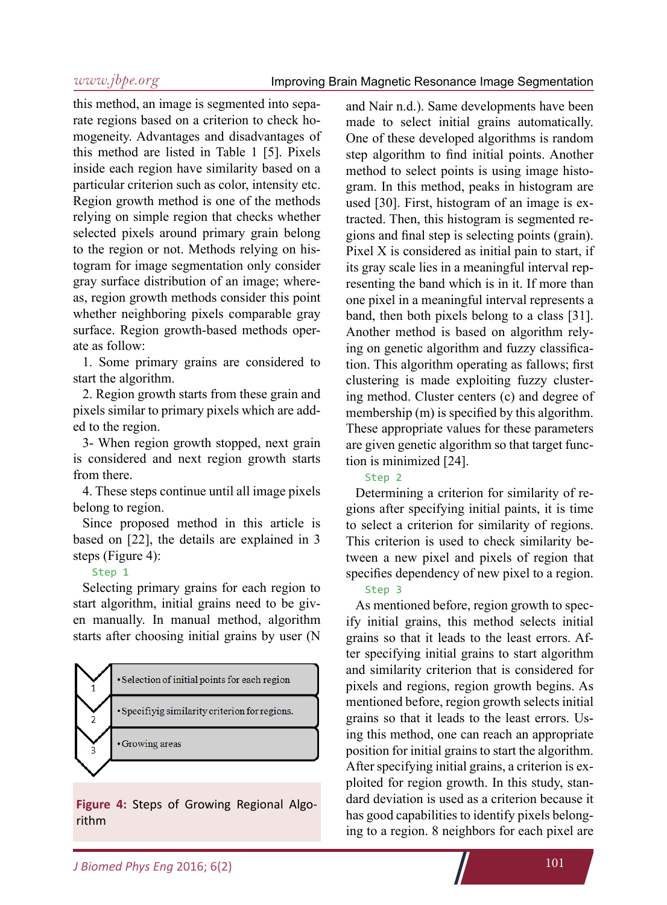this method, an image is segmented into separate regions based on a criterion to check homogeneity. Advantages and disadvantages of this method are listed in Table 1 [5]. Pixels inside each region have similarity based on a particular criterion such as color, intensity etc. Region growth method is one of the methods relying on simple region that checks whether selected pixels around primary grain belong to the region or not. Methods relying on histogram for image segmentation only consider gray surface distribution of an image; whereas, region growth methods consider this point whether neighboring pixels comparable gray surface. Region growth-based methods operate as follow:

1. Some primary grains are considered to start the algorithm.

2. Region growth starts from these grain and pixels similar to primary pixels which are added to the region.

3- When region growth stopped, next grain is considered and next region growth starts from there.

4. These steps continue until all image pixels belong to region.

Since proposed method in this article is based on [22], the details are explained in 3 steps (Figure 4):

#### Step 1

Selecting primary grains for each region to start algorithm, initial grains need to be given manually. In manual method, algorithm starts after choosing initial grains by user (N



**Figure 4:** Steps of Growing Regional Algorithm

and Nair n.d.). Same developments have been made to select initial grains automatically. One of these developed algorithms is random step algorithm to find initial points. Another method to select points is using image histogram. In this method, peaks in histogram are used [30]. First, histogram of an image is extracted. Then, this histogram is segmented regions and final step is selecting points (grain). Pixel X is considered as initial pain to start, if its gray scale lies in a meaningful interval representing the band which is in it. If more than one pixel in a meaningful interval represents a band, then both pixels belong to a class [31]. Another method is based on algorithm relying on genetic algorithm and fuzzy classification. This algorithm operating as fallows; first clustering is made exploiting fuzzy clustering method. Cluster centers (c) and degree of membership (m) is specified by this algorithm. These appropriate values for these parameters are given genetic algorithm so that target function is minimized [24].

#### Step 2

Determining a criterion for similarity of regions after specifying initial paints, it is time to select a criterion for similarity of regions. This criterion is used to check similarity between a new pixel and pixels of region that specifies dependency of new pixel to a region.

#### Step 3

As mentioned before, region growth to specify initial grains, this method selects initial grains so that it leads to the least errors. After specifying initial grains to start algorithm and similarity criterion that is considered for pixels and regions, region growth begins. As mentioned before, region growth selects initial grains so that it leads to the least errors. Using this method, one can reach an appropriate position for initial grains to start the algorithm. After specifying initial grains, a criterion is exploited for region growth. In this study, standard deviation is used as a criterion because it has good capabilities to identify pixels belonging to a region. 8 neighbors for each pixel are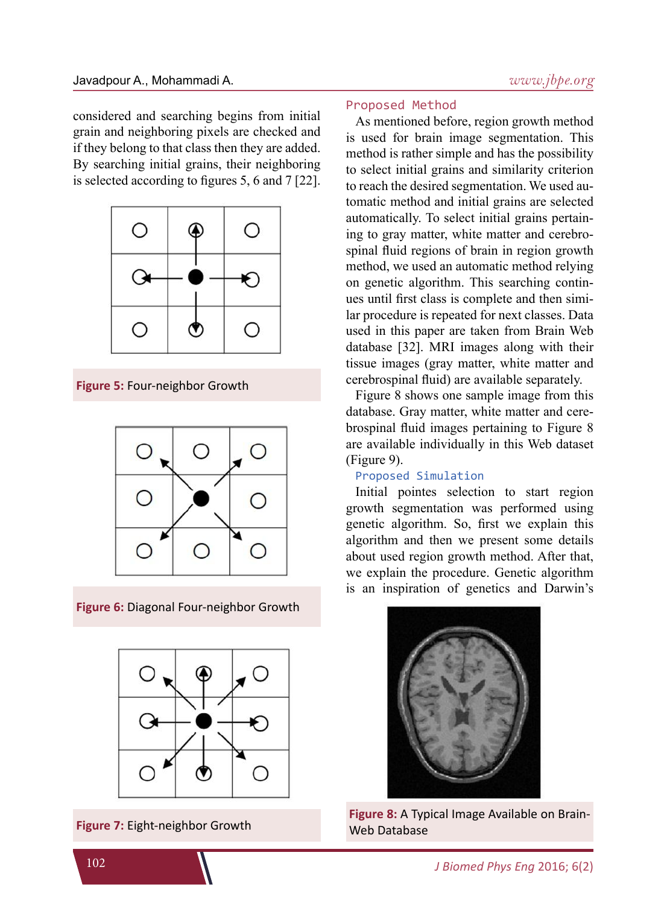considered and searching begins from initial grain and neighboring pixels are checked and if they belong to that class then they are added. By searching initial grains, their neighboring is selected according to figures 5, 6 and 7 [22].



**Figure 5:** Four-neighbor Growth



**Figure 6:** Diagonal Four-neighbor Growth



#### Proposed Method

As mentioned before, region growth method is used for brain image segmentation. This method is rather simple and has the possibility to select initial grains and similarity criterion to reach the desired segmentation. We used automatic method and initial grains are selected automatically. To select initial grains pertaining to gray matter, white matter and cerebrospinal fluid regions of brain in region growth method, we used an automatic method relying on genetic algorithm. This searching continues until first class is complete and then similar procedure is repeated for next classes. Data used in this paper are taken from Brain Web database [32]. MRI images along with their tissue images (gray matter, white matter and cerebrospinal fluid) are available separately.

Figure 8 shows one sample image from this database. Gray matter, white matter and cerebrospinal fluid images pertaining to Figure 8 are available individually in this Web dataset (Figure 9).

#### Proposed Simulation

Initial pointes selection to start region growth segmentation was performed using genetic algorithm. So, first we explain this algorithm and then we present some details about used region growth method. After that, we explain the procedure. Genetic algorithm is an inspiration of genetics and Darwin's



**Figure 8:** A Typical Image Available on Brain-<br>**Figure 7:** Eight-neighbor Growth Web Database Web Database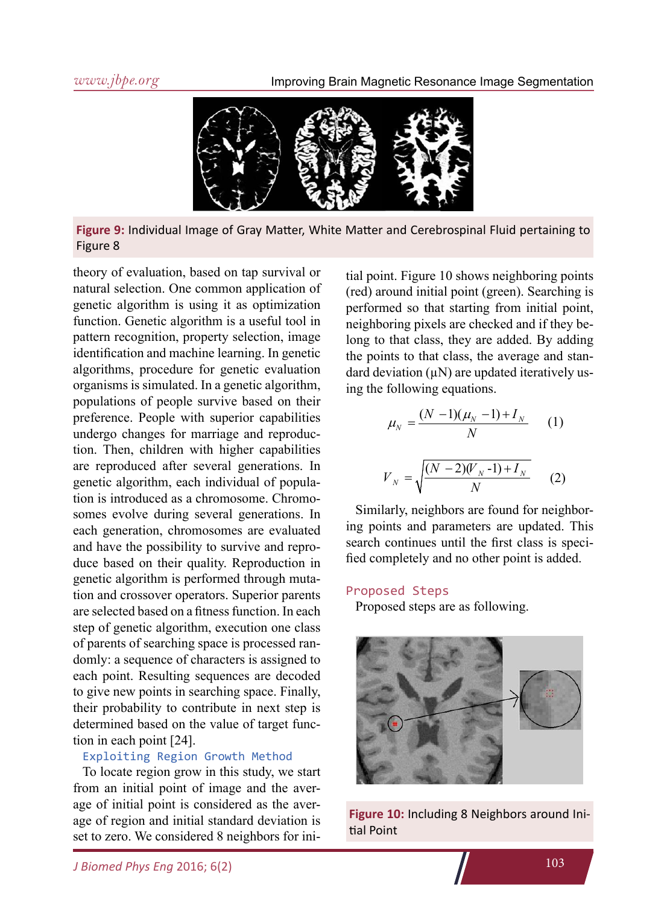

**Figure 9:** Individual Image of Gray Matter, White Matter and Cerebrospinal Fluid pertaining to Figure 8

theory of evaluation, based on tap survival or natural selection. One common application of genetic algorithm is using it as optimization function. Genetic algorithm is a useful tool in pattern recognition, property selection, image identification and machine learning. In genetic algorithms, procedure for genetic evaluation organisms is simulated. In a genetic algorithm, populations of people survive based on their preference. People with superior capabilities undergo changes for marriage and reproduction. Then, children with higher capabilities are reproduced after several generations. In genetic algorithm, each individual of population is introduced as a chromosome. Chromosomes evolve during several generations. In each generation, chromosomes are evaluated and have the possibility to survive and reproduce based on their quality. Reproduction in genetic algorithm is performed through mutation and crossover operators. Superior parents are selected based on a fitness function. In each step of genetic algorithm, execution one class of parents of searching space is processed randomly: a sequence of characters is assigned to each point. Resulting sequences are decoded to give new points in searching space. Finally, their probability to contribute in next step is determined based on the value of target function in each point [24].

#### Exploiting Region Growth Method

To locate region grow in this study, we start from an initial point of image and the average of initial point is considered as the average of region and initial standard deviation is set to zero. We considered 8 neighbors for ini-

tial point. Figure 10 shows neighboring points (red) around initial point (green). Searching is performed so that starting from initial point, neighboring pixels are checked and if they belong to that class, they are added. By adding the points to that class, the average and standard deviation  $(\mu N)$  are updated iteratively using the following equations.

$$
\mu_N = \frac{(N-1)(\mu_N - 1) + I_N}{N} \qquad (1)
$$

$$
V_N = \sqrt{\frac{(N-2)(V_N - 1) + I_N}{N}} \qquad (2)
$$

Similarly, neighbors are found for neighboring points and parameters are updated. This search continues until the first class is specified completely and no other point is added.

#### Proposed Steps

Proposed steps are as following.



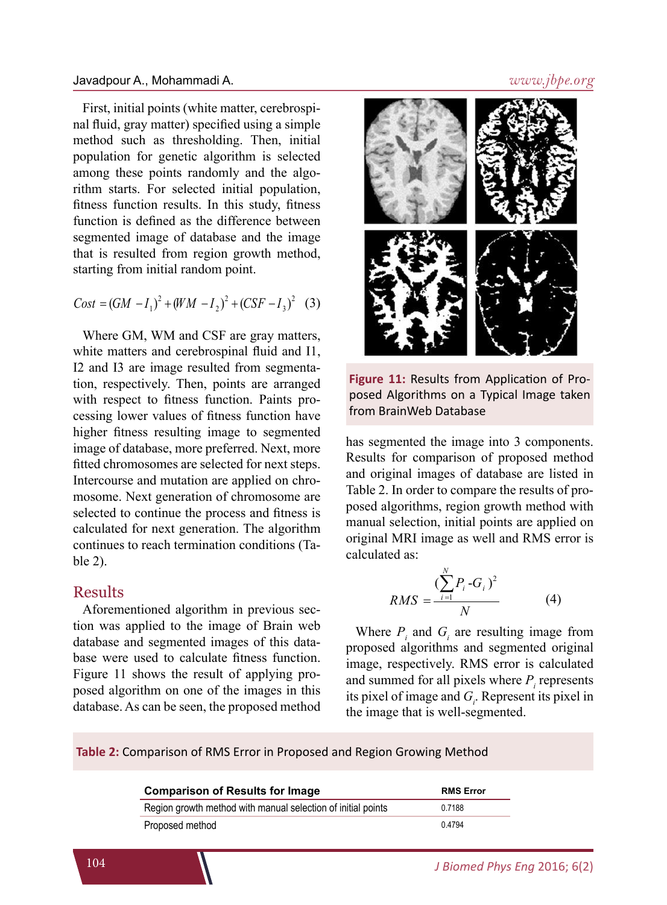#### Javadpour A., Mohammadi A.

First, initial points (white matter, cerebrospinal fluid, gray matter) specified using a simple method such as thresholding. Then, initial population for genetic algorithm is selected among these points randomly and the algorithm starts. For selected initial population, fitness function results. In this study, fitness function is defined as the difference between segmented image of database and the image that is resulted from region growth method, starting from initial random point.

$$
Cost = (GM - I_1)^2 + (WM - I_2)^2 + (CSF - I_3)^2
$$
 (3)

Where GM, WM and CSF are gray matters, white matters and cerebrospinal fluid and I1, I2 and I3 are image resulted from segmentation, respectively. Then, points are arranged with respect to fitness function. Paints processing lower values of fitness function have higher fitness resulting image to segmented image of database, more preferred. Next, more fitted chromosomes are selected for next steps. Intercourse and mutation are applied on chromosome. Next generation of chromosome are selected to continue the process and fitness is calculated for next generation. The algorithm continues to reach termination conditions (Table 2).

#### Results

Aforementioned algorithm in previous section was applied to the image of Brain web database and segmented images of this database were used to calculate fitness function. Figure 11 shows the result of applying proposed algorithm on one of the images in this database. As can be seen, the proposed method



**Figure 11:** Results from Application of Proposed Algorithms on a Typical Image taken from BrainWeb Database

has segmented the image into 3 components. Results for comparison of proposed method and original images of database are listed in Table 2. In order to compare the results of proposed algorithms, region growth method with manual selection, initial points are applied on original MRI image as well and RMS error is calculated as:

$$
RMS = \frac{(\sum_{i=1}^{N} P_i - G_i)^2}{N}
$$
 (4)

Where  $P_i$  and  $G_i$  are resulting image from proposed algorithms and segmented original image, respectively. RMS error is calculated and summed for all pixels where  $P_i$  represents its pixel of image and  $G_i$ . Represent its pixel in the image that is well-segmented.

**Table 2:** Comparison of RMS Error in Proposed and Region Growing Method

| <b>Comparison of Results for Image</b>                       | <b>RMS Error</b> |
|--------------------------------------------------------------|------------------|
| Region growth method with manual selection of initial points | 0 7 1 8 8        |
| Proposed method                                              | 04794            |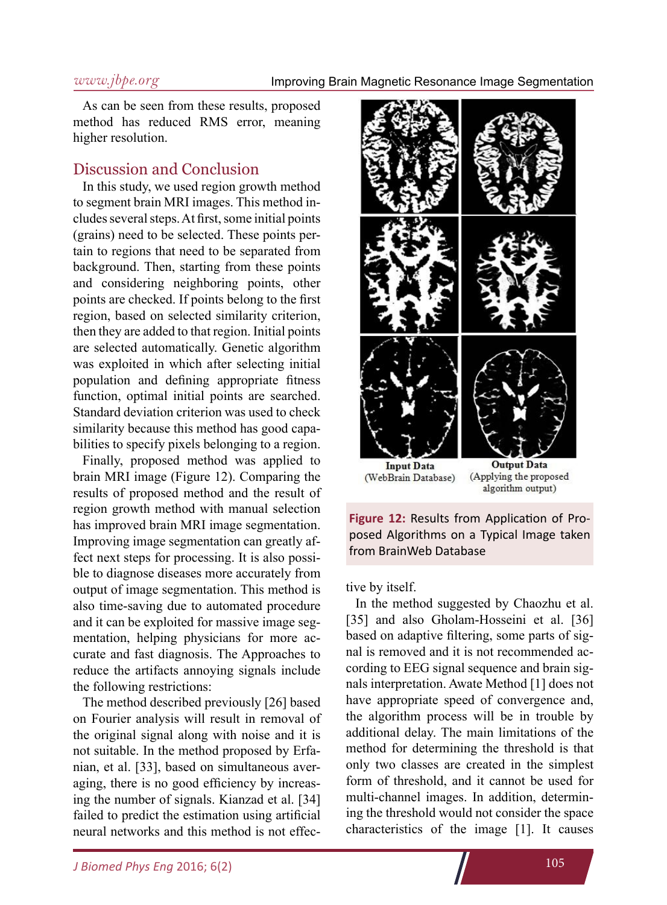#### Improving Brain Magnetic Resonance Image Segmentation

#### *www.jbpe.org*

As can be seen from these results, proposed method has reduced RMS error, meaning higher resolution.

### Discussion and Conclusion

In this study, we used region growth method to segment brain MRI images. This method includes several steps. At first, some initial points (grains) need to be selected. These points pertain to regions that need to be separated from background. Then, starting from these points and considering neighboring points, other points are checked. If points belong to the first region, based on selected similarity criterion, then they are added to that region. Initial points are selected automatically. Genetic algorithm was exploited in which after selecting initial population and defining appropriate fitness function, optimal initial points are searched. Standard deviation criterion was used to check similarity because this method has good capabilities to specify pixels belonging to a region.

Finally, proposed method was applied to brain MRI image (Figure 12). Comparing the results of proposed method and the result of region growth method with manual selection has improved brain MRI image segmentation. Improving image segmentation can greatly affect next steps for processing. It is also possible to diagnose diseases more accurately from output of image segmentation. This method is also time-saving due to automated procedure and it can be exploited for massive image segmentation, helping physicians for more accurate and fast diagnosis. The Approaches to reduce the artifacts annoying signals include the following restrictions:

The method described previously [26] based on Fourier analysis will result in removal of the original signal along with noise and it is not suitable. In the method proposed by Erfanian, et al. [33], based on simultaneous averaging, there is no good efficiency by increasing the number of signals. Kianzad et al. [34] failed to predict the estimation using artificial neural networks and this method is not effec-





tive by itself.

In the method suggested by Chaozhu et al. [35] and also Gholam-Hosseini et al. [36] based on adaptive filtering, some parts of signal is removed and it is not recommended according to EEG signal sequence and brain signals interpretation. Awate Method [1] does not have appropriate speed of convergence and, the algorithm process will be in trouble by additional delay. The main limitations of the method for determining the threshold is that only two classes are created in the simplest form of threshold, and it cannot be used for multi-channel images. In addition, determining the threshold would not consider the space characteristics of the image [1]. It causes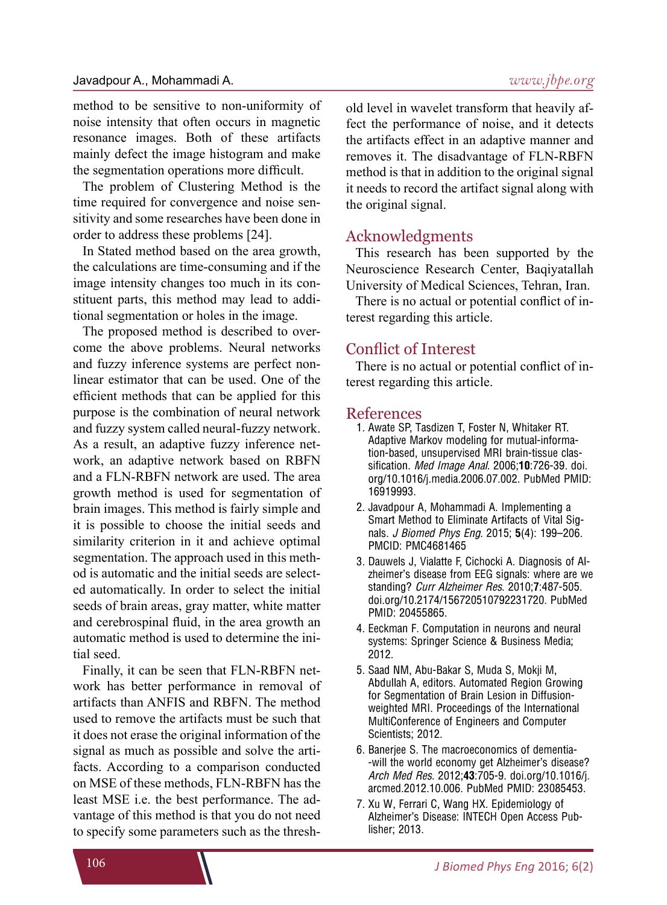method to be sensitive to non-uniformity of noise intensity that often occurs in magnetic resonance images. Both of these artifacts mainly defect the image histogram and make the segmentation operations more difficult.

The problem of Clustering Method is the time required for convergence and noise sensitivity and some researches have been done in order to address these problems [24].

In Stated method based on the area growth, the calculations are time-consuming and if the image intensity changes too much in its constituent parts, this method may lead to additional segmentation or holes in the image.

The proposed method is described to overcome the above problems. Neural networks and fuzzy inference systems are perfect nonlinear estimator that can be used. One of the efficient methods that can be applied for this purpose is the combination of neural network and fuzzy system called neural-fuzzy network. As a result, an adaptive fuzzy inference network, an adaptive network based on RBFN and a FLN-RBFN network are used. The area growth method is used for segmentation of brain images. This method is fairly simple and it is possible to choose the initial seeds and similarity criterion in it and achieve optimal segmentation. The approach used in this method is automatic and the initial seeds are selected automatically. In order to select the initial seeds of brain areas, gray matter, white matter and cerebrospinal fluid, in the area growth an automatic method is used to determine the initial seed.

Finally, it can be seen that FLN-RBFN network has better performance in removal of artifacts than ANFIS and RBFN. The method used to remove the artifacts must be such that it does not erase the original information of the signal as much as possible and solve the artifacts. According to a comparison conducted on MSE of these methods, FLN-RBFN has the least MSE i.e. the best performance. The advantage of this method is that you do not need to specify some parameters such as the threshold level in wavelet transform that heavily affect the performance of noise, and it detects the artifacts effect in an adaptive manner and removes it. The disadvantage of FLN-RBFN method is that in addition to the original signal it needs to record the artifact signal along with the original signal.

### Acknowledgments

This research has been supported by the Neuroscience Research Center, Baqiyatallah University of Medical Sciences, Tehran, Iran.

There is no actual or potential conflict of interest regarding this article.

### Conflict of Interest

There is no actual or potential conflict of interest regarding this article.

#### References

- 1. Awate SP, Tasdizen T, Foster N, Whitaker RT. Adaptive Markov modeling for mutual-information-based, unsupervised MRI brain-tissue classification. *Med Image Anal*. 2006;**10**:726-39. doi. org/10.1016/j.media.2006.07.002. PubMed PMID: 16919993.
- 2. Javadpour A, Mohammadi A. Implementing a Smart Method to Eliminate Artifacts of Vital Signals. *J Biomed Phys Eng*. 2015; **5**(4): 199–206. PMCID: PMC4681465
- 3. Dauwels J, Vialatte F, Cichocki A. Diagnosis of Alzheimer's disease from EEG signals: where are we standing? *Curr Alzheimer Res*. 2010;**7**:487-505. doi.org/10.2174/156720510792231720. PubMed PMID: 20455865.
- 4. Eeckman F. Computation in neurons and neural systems: Springer Science & Business Media; 2012.
- 5. Saad NM, Abu-Bakar S, Muda S, Mokji M, Abdullah A, editors. Automated Region Growing for Segmentation of Brain Lesion in Diffusionweighted MRI. Proceedings of the International MultiConference of Engineers and Computer Scientists; 2012.
- 6. Banerjee S. The macroeconomics of dementia- -will the world economy get Alzheimer's disease? *Arch Med Res*. 2012;**43**:705-9. doi.org/10.1016/j. arcmed.2012.10.006. PubMed PMID: 23085453.
- 7. Xu W, Ferrari C, Wang HX. Epidemiology of Alzheimer's Disease: INTECH Open Access Publisher; 2013.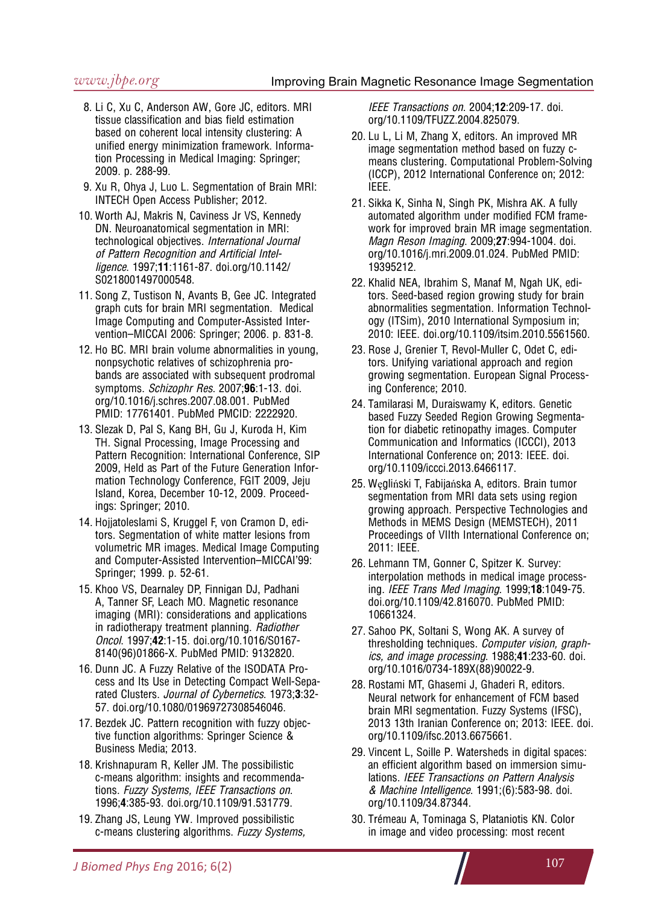- 8. Li C, Xu C, Anderson AW, Gore JC, editors. MRI tissue classification and bias field estimation based on coherent local intensity clustering: A unified energy minimization framework. Information Processing in Medical Imaging: Springer; 2009. p. 288-99.
- 9. Xu R, Ohya J, Luo L. Segmentation of Brain MRI: INTECH Open Access Publisher; 2012.
- 10. Worth AJ, Makris N, Caviness Jr VS, Kennedy DN. Neuroanatomical segmentation in MRI: technological objectives. *International Journal of Pattern Recognition and Artificial Intelligence*. 1997;**11**:1161-87. doi.org/10.1142/ S0218001497000548.
- 11. Song Z, Tustison N, Avants B, Gee JC. Integrated graph cuts for brain MRI segmentation. Medical Image Computing and Computer-Assisted Intervention–MICCAI 2006: Springer; 2006. p. 831-8.
- 12. Ho BC. MRI brain volume abnormalities in young, nonpsychotic relatives of schizophrenia probands are associated with subsequent prodromal symptoms. *Schizophr Res*. 2007;**96**:1-13. doi. org/10.1016/j.schres.2007.08.001. PubMed PMID: 17761401. PubMed PMCID: 2222920.
- 13. Slezak D, Pal S, Kang BH, Gu J, Kuroda H, Kim TH. Signal Processing, Image Processing and Pattern Recognition: International Conference, SIP 2009, Held as Part of the Future Generation Information Technology Conference, FGIT 2009, Jeju Island, Korea, December 10-12, 2009. Proceedings: Springer; 2010.
- 14. Hojjatoleslami S, Kruggel F, von Cramon D, editors. Segmentation of white matter lesions from volumetric MR images. Medical Image Computing and Computer-Assisted Intervention–MICCAI'99: Springer; 1999. p. 52-61.
- 15. Khoo VS, Dearnaley DP, Finnigan DJ, Padhani A, Tanner SF, Leach MO. Magnetic resonance imaging (MRI): considerations and applications in radiotherapy treatment planning. *Radiother Oncol*. 1997;**42**:1-15. doi.org/10.1016/S0167- 8140(96)01866-X. PubMed PMID: 9132820.
- 16. Dunn JC. A Fuzzy Relative of the ISODATA Process and Its Use in Detecting Compact Well-Separated Clusters. *Journal of Cybernetics*. 1973;**3**:32- 57. doi.org/10.1080/01969727308546046.
- 17. Bezdek JC. Pattern recognition with fuzzy objective function algorithms: Springer Science & Business Media; 2013.
- 18. Krishnapuram R, Keller JM. The possibilistic c-means algorithm: insights and recommendations. *Fuzzy Systems, IEEE Transactions on*. 1996;**4**:385-93. doi.org/10.1109/91.531779.
- 19. Zhang JS, Leung YW. Improved possibilistic c-means clustering algorithms. *Fuzzy Systems,*

*IEEE Transactions on*. 2004;**12**:209-17. doi. org/10.1109/TFUZZ.2004.825079.

- 20. Lu L, Li M, Zhang X, editors. An improved MR image segmentation method based on fuzzy cmeans clustering. Computational Problem-Solving (ICCP), 2012 International Conference on; 2012: IEEE.
- 21. Sikka K, Sinha N, Singh PK, Mishra AK. A fully automated algorithm under modified FCM framework for improved brain MR image segmentation. *Magn Reson Imaging*. 2009;**27**:994-1004. doi. org/10.1016/j.mri.2009.01.024. PubMed PMID: 19395212.
- 22. Khalid NEA, Ibrahim S, Manaf M, Ngah UK, editors. Seed-based region growing study for brain abnormalities segmentation. Information Technology (ITSim), 2010 International Symposium in; 2010: IEEE. doi.org/10.1109/itsim.2010.5561560.
- 23. Rose J, Grenier T, Revol-Muller C, Odet C, editors. Unifying variational approach and region growing segmentation. European Signal Processing Conference; 2010.
- 24. Tamilarasi M, Duraiswamy K, editors. Genetic based Fuzzy Seeded Region Growing Segmentation for diabetic retinopathy images. Computer Communication and Informatics (ICCCI), 2013 International Conference on; 2013: IEEE. doi. org/10.1109/iccci.2013.6466117.
- 25. Węgliński T, Fabijańska A, editors. Brain tumor segmentation from MRI data sets using region growing approach. Perspective Technologies and Methods in MEMS Design (MEMSTECH), 2011 Proceedings of VIIth International Conference on; 2011: IEEE.
- 26. Lehmann TM, Gonner C, Spitzer K. Survey: interpolation methods in medical image processing. *IEEE Trans Med Imaging*. 1999;**18**:1049-75. doi.org/10.1109/42.816070. PubMed PMID: 10661324.
- 27. Sahoo PK, Soltani S, Wong AK. A survey of thresholding techniques. *Computer vision, graphics, and image processing*. 1988;**41**:233-60. doi. org/10.1016/0734-189X(88)90022-9.
- 28. Rostami MT, Ghasemi J, Ghaderi R, editors. Neural network for enhancement of FCM based brain MRI segmentation. Fuzzy Systems (IFSC), 2013 13th Iranian Conference on; 2013: IEEE. doi. org/10.1109/ifsc.2013.6675661.
- 29. Vincent L, Soille P. Watersheds in digital spaces: an efficient algorithm based on immersion simulations. *IEEE Transactions on Pattern Analysis & Machine Intelligence*. 1991;(6):583-98. doi. org/10.1109/34.87344.
- 30. Trémeau A, Tominaga S, Plataniotis KN. Color in image and video processing: most recent